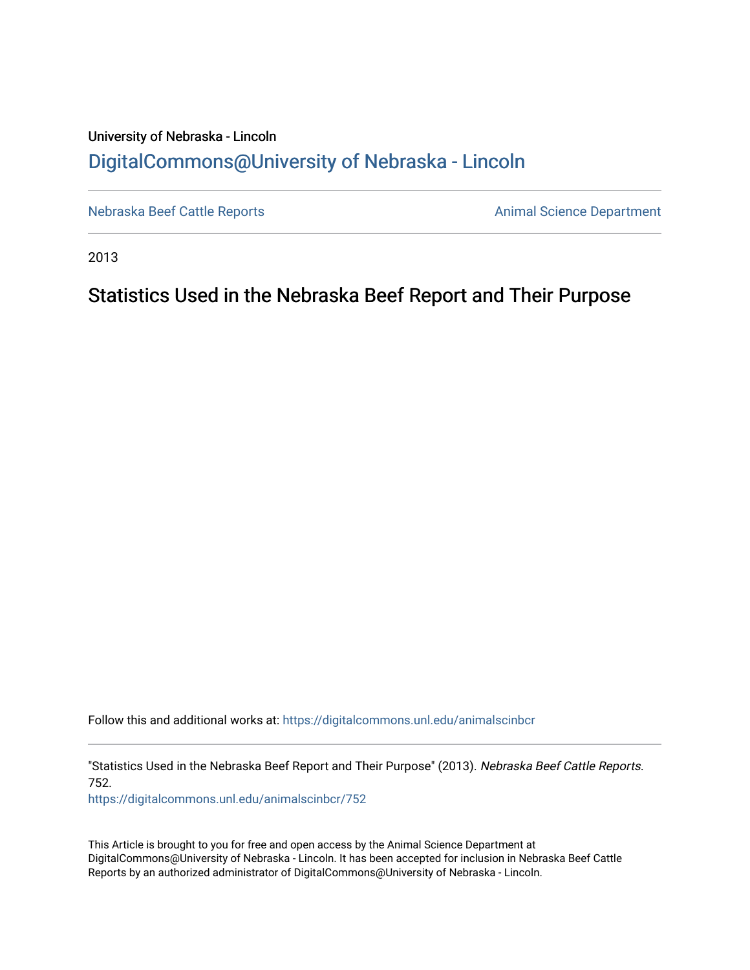## University of Nebraska - Lincoln [DigitalCommons@University of Nebraska - Lincoln](https://digitalcommons.unl.edu/)

[Nebraska Beef Cattle Reports](https://digitalcommons.unl.edu/animalscinbcr) **Animal Science Department** 

2013

### Statistics Used in the Nebraska Beef Report and Their Purpose

Follow this and additional works at: [https://digitalcommons.unl.edu/animalscinbcr](https://digitalcommons.unl.edu/animalscinbcr?utm_source=digitalcommons.unl.edu%2Fanimalscinbcr%2F752&utm_medium=PDF&utm_campaign=PDFCoverPages)

"Statistics Used in the Nebraska Beef Report and Their Purpose" (2013). Nebraska Beef Cattle Reports. 752.

[https://digitalcommons.unl.edu/animalscinbcr/752](https://digitalcommons.unl.edu/animalscinbcr/752?utm_source=digitalcommons.unl.edu%2Fanimalscinbcr%2F752&utm_medium=PDF&utm_campaign=PDFCoverPages)

This Article is brought to you for free and open access by the Animal Science Department at DigitalCommons@University of Nebraska - Lincoln. It has been accepted for inclusion in Nebraska Beef Cattle Reports by an authorized administrator of DigitalCommons@University of Nebraska - Lincoln.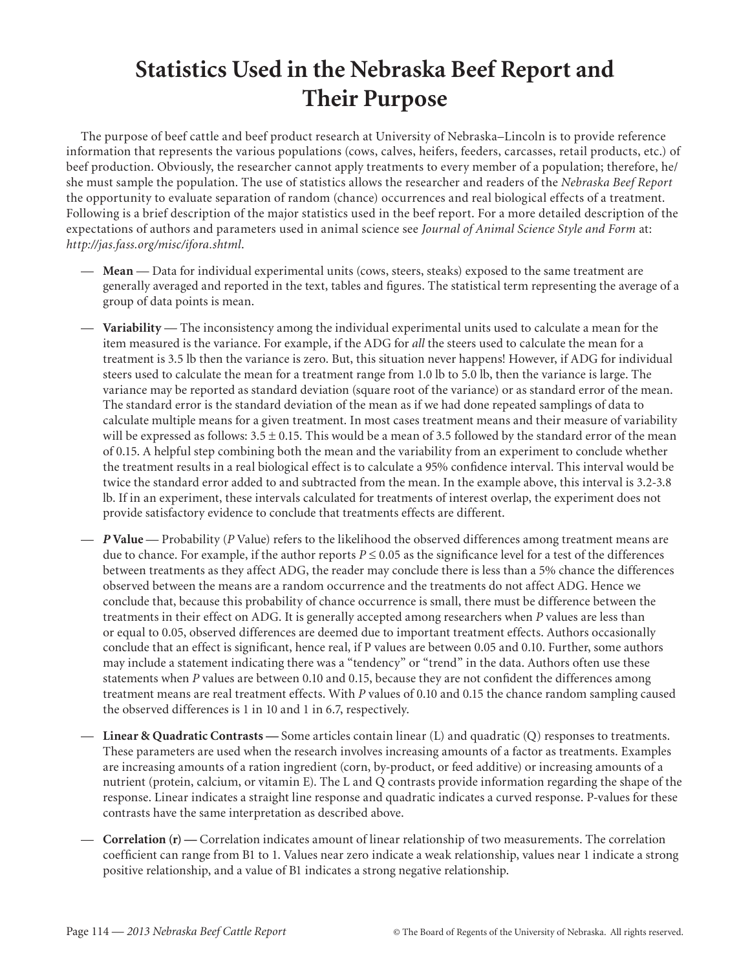# **Statistics Used in the Nebraska Beef Report and Their Purpose**

The purpose of beef cattle and beef product research at University of Nebraska–Lincoln is to provide reference information that represents the various populations (cows, calves, heifers, feeders, carcasses, retail products, etc.) of beef production. Obviously, the researcher cannot apply treatments to every member of a population; therefore, he/ she must sample the population. The use of statistics allows the researcher and readers of the *Nebraska Beef Report* the opportunity to evaluate separation of random (chance) occurrences and real biological effects of a treatment. Following is a brief description of the major statistics used in the beef report. For a more detailed description of the expectations of authors and parameters used in animal science see *Journal of Animal Science Style and Form* at: *http://jas.fass.org/misc/ifora.shtml*.

- **Mean** Data for individual experimental units (cows, steers, steaks) exposed to the same treatment are generally averaged and reported in the text, tables and figures. The statistical term representing the average of a group of data points is mean.
- **Variability** The inconsistency among the individual experimental units used to calculate a mean for the item measured is the variance. For example, if the ADG for *all* the steers used to calculate the mean for a treatment is 3.5 lb then the variance is zero. But, this situation never happens! However, if ADG for individual steers used to calculate the mean for a treatment range from 1.0 lb to 5.0 lb, then the variance is large. The variance may be reported as standard deviation (square root of the variance) or as standard error of the mean. The standard error is the standard deviation of the mean as if we had done repeated samplings of data to calculate multiple means for a given treatment. In most cases treatment means and their measure of variability will be expressed as follows:  $3.5 \pm 0.15$ . This would be a mean of 3.5 followed by the standard error of the mean of 0.15. A helpful step combining both the mean and the variability from an experiment to conclude whether the treatment results in a real biological effect is to calculate a 95% confidence interval. This interval would be twice the standard error added to and subtracted from the mean. In the example above, this interval is 3.2-3.8 lb. If in an experiment, these intervals calculated for treatments of interest overlap, the experiment does not provide satisfactory evidence to conclude that treatments effects are different.
- *P* **Value**  Probability (*P* Value) refers to the likelihood the observed differences among treatment means are due to chance. For example, if the author reports  $P \le 0.05$  as the significance level for a test of the differences between treatments as they affect ADG, the reader may conclude there is less than a 5% chance the differences observed between the means are a random occurrence and the treatments do not affect ADG. Hence we conclude that, because this probability of chance occurrence is small, there must be difference between the treatments in their effect on ADG. It is generally accepted among researchers when *P* values are less than or equal to 0.05, observed differences are deemed due to important treatment effects. Authors occasionally conclude that an effect is significant, hence real, if P values are between 0.05 and 0.10. Further, some authors may include a statement indicating there was a "tendency" or "trend" in the data. Authors often use these statements when *P* values are between 0.10 and 0.15, because they are not confident the differences among treatment means are real treatment effects. With *P* values of 0.10 and 0.15 the chance random sampling caused the observed differences is 1 in 10 and 1 in 6.7, respectively.
- **Linear & Quadratic Contrasts** Some articles contain linear (L) and quadratic (Q) responses to treatments. These parameters are used when the research involves increasing amounts of a factor as treatments. Examples are increasing amounts of a ration ingredient (corn, by-product, or feed additive) or increasing amounts of a nutrient (protein, calcium, or vitamin E). The L and Q contrasts provide information regarding the shape of the response. Linear indicates a straight line response and quadratic indicates a curved response. P-values for these contrasts have the same interpretation as described above.
- **Correlation (r)** Correlation indicates amount of linear relationship of two measurements. The correlation coefficient can range from B1 to 1. Values near zero indicate a weak relationship, values near 1 indicate a strong positive relationship, and a value of B1 indicates a strong negative relationship.